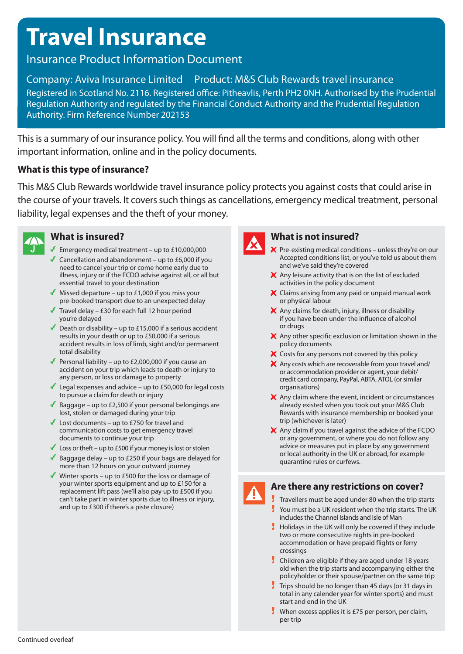# **Travel Insurance**

# Insurance Product Information Document

## Company: Aviva Insurance Limited Product: M&S Club Rewards travel insurance Registered in Scotland No. 2116. Registered office: Pitheavlis, Perth PH2 0NH. Authorised by the Prudential Regulation Authority and regulated by the Financial Conduct Authority and the Prudential Regulation Authority. Firm Reference Number 202153

This is a summary of our insurance policy. You will find all the terms and conditions, along with other important information, online and in the policy documents.

### **What is this type of insurance?**

This M&S Club Rewards worldwide travel insurance policy protects you against costs that could arise in the course of your travels. It covers such things as cancellations, emergency medical treatment, personal liability, legal expenses and the theft of your money.



# **What is insured?**

- Emergency medical treatment up to  $£10,000,000$
- Cancellation and abandonment up to  $£6,000$  if you need to cancel your trip or come home early due to illness, injury or if the FCDO advise against all, or all but essential travel to your destination
- $\blacksquare$  Missed departure up to £1,000 if you miss your pre-booked transport due to an unexpected delay
- Travel delay £30 for each full 12 hour period you're delayed
- Death or disability up to £15,000 if a serious accident results in your death or up to £50,000 if a serious accident results in loss of limb, sight and/or permanent total disability
- Personal liability up to £2,000,000 if you cause an accident on your trip which leads to death or injury to any person, or loss or damage to property
- Legal expenses and advice up to  $£50,000$  for legal costs to pursue a claim for death or injury
- Baggage up to £2,500 if your personal belongings are lost, stolen or damaged during your trip
- $\blacktriangleright$  Lost documents up to £750 for travel and communication costs to get emergency travel documents to continue your trip
- Loss or theft up to £500 if your money is lost or stolen
- Baggage delay up to £250 if your bags are delayed for more than 12 hours on your outward journey
- Winter sports up to £500 for the loss or damage of your winter sports equipment and up to £150 for a replacement lift pass (we'll also pay up to £500 if you can't take part in winter sports due to illness or injury, and up to £300 if there's a piste closure)



### **What is not insured?**

- $\blacktriangleright$  Pre-existing medical conditions unless they're on our Accepted conditions list, or you've told us about them and we've said they're covered
- $\blacktriangleright$  Any leisure activity that is on the list of excluded activities in the policy document
- $\blacktriangleright$  Claims arising from any paid or unpaid manual work or physical labour
- $\blacktriangleright$  Any claims for death, injury, illness or disability if you have been under the influence of alcohol or drugs
- $\blacktriangleright$  Any other specific exclusion or limitation shown in the policy documents
- $\blacktriangleright$  Costs for any persons not covered by this policy
- $\blacktriangleright$  Any costs which are recoverable from your travel and/ or accommodation provider or agent, your debit/ credit card company, PayPal, ABTA, ATOL (or similar organisations)
- $\mathsf{\mathsf{X}}$  Any claim where the event, incident or circumstances already existed when you took out your M&S Club Rewards with insurance membership or booked your trip (whichever is later)
- $\blacktriangleright$  Any claim if you travel against the advice of the FCDO or any government, or where you do not follow any advice or measures put in place by any government or local authority in the UK or abroad, for example quarantine rules or curfews.

### **Are there any restrictions on cover?**

- $\frac{1}{2}$  Travellers must be aged under 80 when the trip starts  $\frac{1}{2}$  You must be a UK resident when the trip starts. The UK includes the Channel Islands and Isle of Man
- $\frac{1}{2}$  Holidays in the UK will only be covered if they include two or more consecutive nights in pre-booked accommodation or have prepaid flights or ferry crossings
- $\frac{1}{2}$  Children are eligible if they are aged under 18 years old when the trip starts and accompanying either the policyholder or their spouse/partner on the same trip
- $\frac{1}{2}$  Trips should be no longer than 45 days (or 31 days in total in any calender year for winter sports) and must start and end in the UK
- **When excess applies it is £75 per person, per claim,** per trip